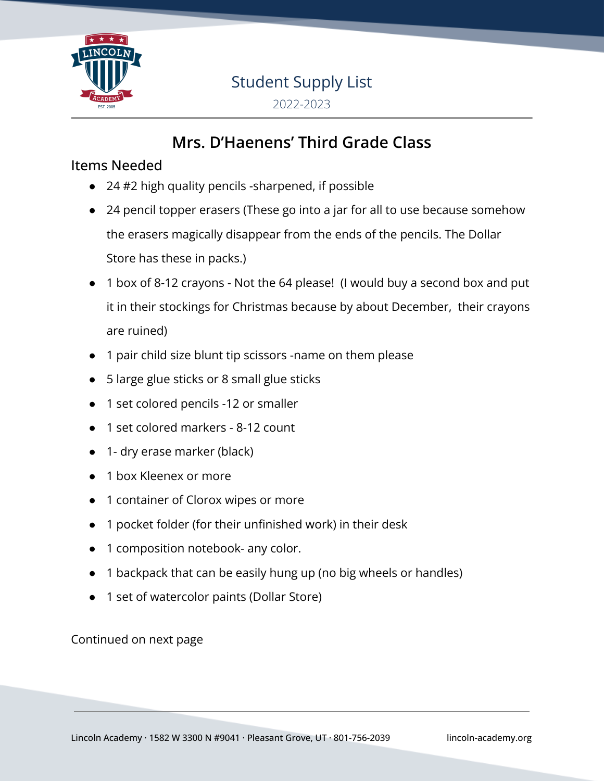

# Student Supply List

2022-2023

## **Mrs. D'Haenens' Third Grade Class**

#### Items Needed

- 24 #2 high quality pencils -sharpened, if possible
- 24 pencil topper erasers (These go into a jar for all to use because somehow the erasers magically disappear from the ends of the pencils. The Dollar Store has these in packs.)
- 1 box of 8-12 crayons Not the 64 please! (I would buy a second box and put it in their stockings for Christmas because by about December, their crayons are ruined)
- 1 pair child size blunt tip scissors -name on them please
- 5 large glue sticks or 8 small glue sticks
- 1 set colored pencils -12 or smaller
- 1 set colored markers 8-12 count
- 1- dry erase marker (black)
- 1 box Kleenex or more
- 1 container of Clorox wipes or more
- 1 pocket folder (for their unfinished work) in their desk
- 1 composition notebook- any color.
- 1 backpack that can be easily hung up (no big wheels or handles)
- 1 set of watercolor paints (Dollar Store)

Continued on next page